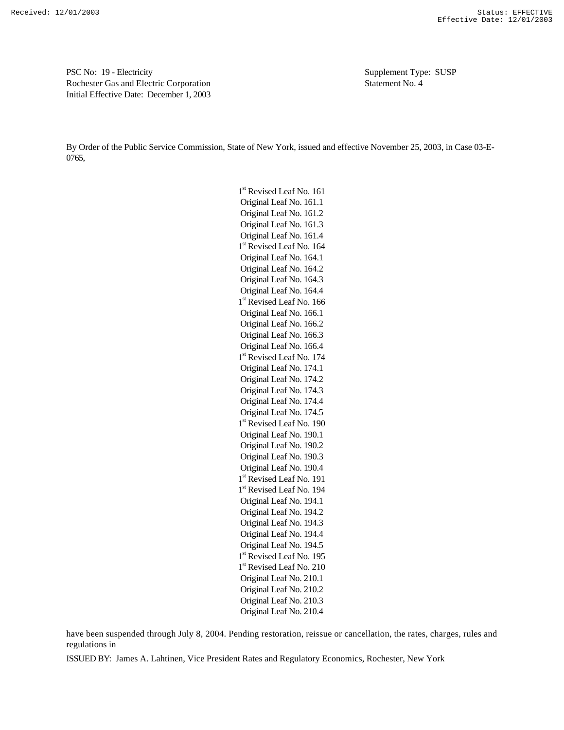PSC No: 19 - Electricity Supplement Type: SUSP Rochester Gas and Electric Corporation Statement No. 4 Initial Effective Date: December 1, 2003

By Order of the Public Service Commission, State of New York, issued and effective November 25, 2003, in Case 03-E-0765,

> 1<sup>st</sup> Revised Leaf No. 161 Original Leaf No. 161.1 Original Leaf No. 161.2 Original Leaf No. 161.3 Original Leaf No. 161.4 1<sup>st</sup> Revised Leaf No. 164 Original Leaf No. 164.1 Original Leaf No. 164.2 Original Leaf No. 164.3 Original Leaf No. 164.4 1<sup>st</sup> Revised Leaf No. 166 Original Leaf No. 166.1 Original Leaf No. 166.2 Original Leaf No. 166.3 Original Leaf No. 166.4 1<sup>st</sup> Revised Leaf No. 174 Original Leaf No. 174.1 Original Leaf No. 174.2 Original Leaf No. 174.3 Original Leaf No. 174.4 Original Leaf No. 174.5 1<sup>st</sup> Revised Leaf No. 190 Original Leaf No. 190.1 Original Leaf No. 190.2 Original Leaf No. 190.3 Original Leaf No. 190.4 1<sup>st</sup> Revised Leaf No. 191 1<sup>st</sup> Revised Leaf No. 194 Original Leaf No. 194.1 Original Leaf No. 194.2 Original Leaf No. 194.3 Original Leaf No. 194.4 Original Leaf No. 194.5 1<sup>st</sup> Revised Leaf No. 195 1<sup>st</sup> Revised Leaf No. 210 Original Leaf No. 210.1 Original Leaf No. 210.2 Original Leaf No. 210.3 Original Leaf No. 210.4

have been suspended through July 8, 2004. Pending restoration, reissue or cancellation, the rates, charges, rules and regulations in

ISSUED BY: James A. Lahtinen, Vice President Rates and Regulatory Economics, Rochester, New York